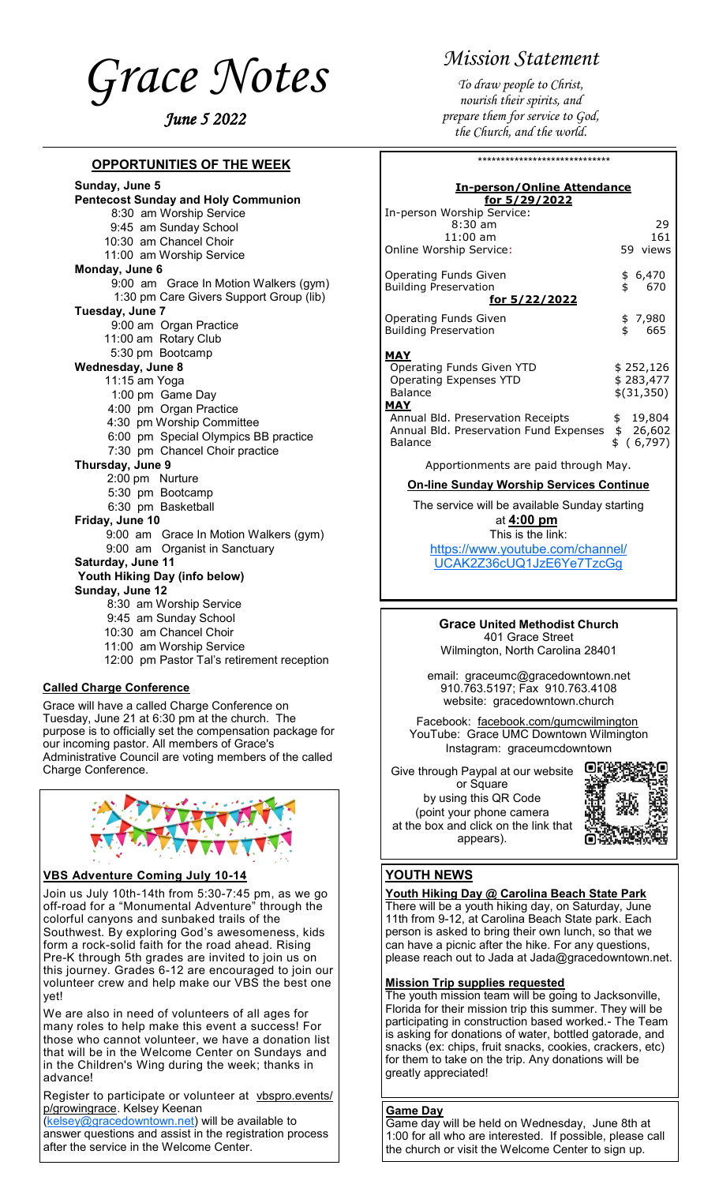<span id="page-0-0"></span>

#### **OPPORTUNITIES OF THE WEEK**

**Sunday, June 5 Pentecost Sunday and Holy Communion** 8:30 am Worship Service 9:45 am Sunday School 10:30 am Chancel Choir 11:00 am Worship Service **Monday, June 6** 9:00 am Grace In Motion Walkers (gym) 1:30 pm Care Givers Support Group (lib) **Tuesday, June 7** 9:00 am Organ Practice 11:00 am Rotary Club 5:30 pm Bootcamp **Wednesday, June 8** 11:15 am Yoga 1:00 pm Game Day 4:00 pm Organ Practice 4:30 pm Worship Committee 6:00 pm Special Olympics BB practice 7:30 pm Chancel Choir practice **Thursday, June 9** 2:00 pm Nurture 5:30 pm Bootcamp 6:30 pm Basketball **Friday, June 10** 9:00 am Grace In Motion Walkers (gym) 9:00 am Organist in Sanctuary **Saturday, June 11 Youth Hiking Day (info below) Sunday, June 12** 8:30 am Worship Service 9:45 am Sunday School 10:30 am Chancel Choir 11:00 am Worship Service 12:00 pm Pastor Tal's retirement reception

#### **Called Charge Conference**

Grace will have a called Charge Conference on Tuesday, June 21 at 6:30 pm at the church. The purpose is to officially set the compensation package for our incoming pastor. All members of Grace's Administrative Council are voting members of the called Charge Conference.



#### **VBS Adventure Coming July 10-14**

Join us July 10th-14th from 5:30-7:45 pm, as we go off-road for a "Monumental Adventure" through the colorful canyons and sunbaked trails of the Southwest. By exploring God's awesomeness, kids form a rock-solid faith for the road ahead. Rising Pre-K through 5th grades are invited to join us on this journey. Grades 6-12 are encouraged to join our volunteer crew and help make our VBS the best one yet!

We are also in need of volunteers of all ages for many roles to help make this event a success! For those who cannot volunteer, we have a donation list that will be in the Welcome Center on Sundays and in the Children's Wing during the week; thanks in advance!

Register to participate or volunteer at [vbspro.events/](https://vbspro.events/p/growingrace) [p/growingrace.](https://vbspro.events/p/growingrace) Kelsey Keenan

[\(kelsey@gracedowntown.net\)](mailto:kelsey@gracedowntown.net) will be available to answer questions and assist in the registration process after the service in the Welcome Center.

## *Mission Statement*

*To draw people to Christ, nourish their spirits, and prepare them for service to God, the Church, and the world.*

| *****************************                                                                     |                                      |  |  |  |  |
|---------------------------------------------------------------------------------------------------|--------------------------------------|--|--|--|--|
| <u><b>In-person/Online Attendance</b></u><br>for 5/29/2022                                        |                                      |  |  |  |  |
| In-person Worship Service:<br>$8:30$ am<br>$11:00$ am<br>Online Worship Service:                  | 29<br>161<br>59 views                |  |  |  |  |
| Operating Funds Given<br><b>Building Preservation</b><br><u>for 5/22/2022</u>                     | \$6,470<br>\$.<br>- 670              |  |  |  |  |
| Operating Funds Given<br><b>Building Preservation</b>                                             | \$7,980<br>\$<br>665                 |  |  |  |  |
| MAY<br>Operating Funds Given YTD<br><b>Operating Expenses YTD</b><br><b>Balance</b><br><b>MAY</b> | \$252,126<br>\$283,477<br>\$(31,350) |  |  |  |  |
| Annual Bld. Preservation Receipts<br>Annual Bld. Preservation Fund Expenses<br>Balance            | \$19,804<br>\$26,602<br>\$ (6,797)   |  |  |  |  |
| Apportionments are paid through May.                                                              |                                      |  |  |  |  |
| <b>On-line Sunday Worship Services Continue</b>                                                   |                                      |  |  |  |  |
| The service will be available Sunday starting<br>at <b>4:00 pm</b><br>This is the link:           |                                      |  |  |  |  |

[https://www.youtube.com/channel/](#page-0-0) [UCAK2Z36cUQ1JzE6Ye7TzcGg](#page-0-0)

#### **Grace United Methodist Church** 401 Grace Street

Wilmington, North Carolina 28401

email: graceumc@gracedowntown.net 910.763.5197; Fax 910.763.4108 website: gracedowntown.church

Facebook: [facebook.com/gumcwilmington](http://facebook.com/gumcwilmington) YouTube: Grace UMC Downtown Wilmington Instagram: graceumcdowntown

Give through Paypal at our website or Square by using this QR Code (point your phone camera at the box and click on the link that appears).



### **YOUTH NEWS**

**Youth Hiking Day @ Carolina Beach State Park** There will be a youth hiking day, on Saturday, June 11th from 9-12, at Carolina Beach State park. Each person is asked to bring their own lunch, so that we can have a picnic after the hike. For any questions, please reach out to Jada at Jada@gracedowntown.net.

#### **Mission Trip supplies requested**

The youth mission team will be going to Jacksonville, Florida for their mission trip this summer. They will be participating in construction based worked.- The Team is asking for donations of water, bottled gatorade, and snacks (ex: chips, fruit snacks, cookies, crackers, etc) for them to take on the trip. Any donations will be greatly appreciated!

**Game Day**

Game day will be held on Wednesday, June 8th at 1:00 for all who are interested. If possible, please call the church or visit the Welcome Center to sign up.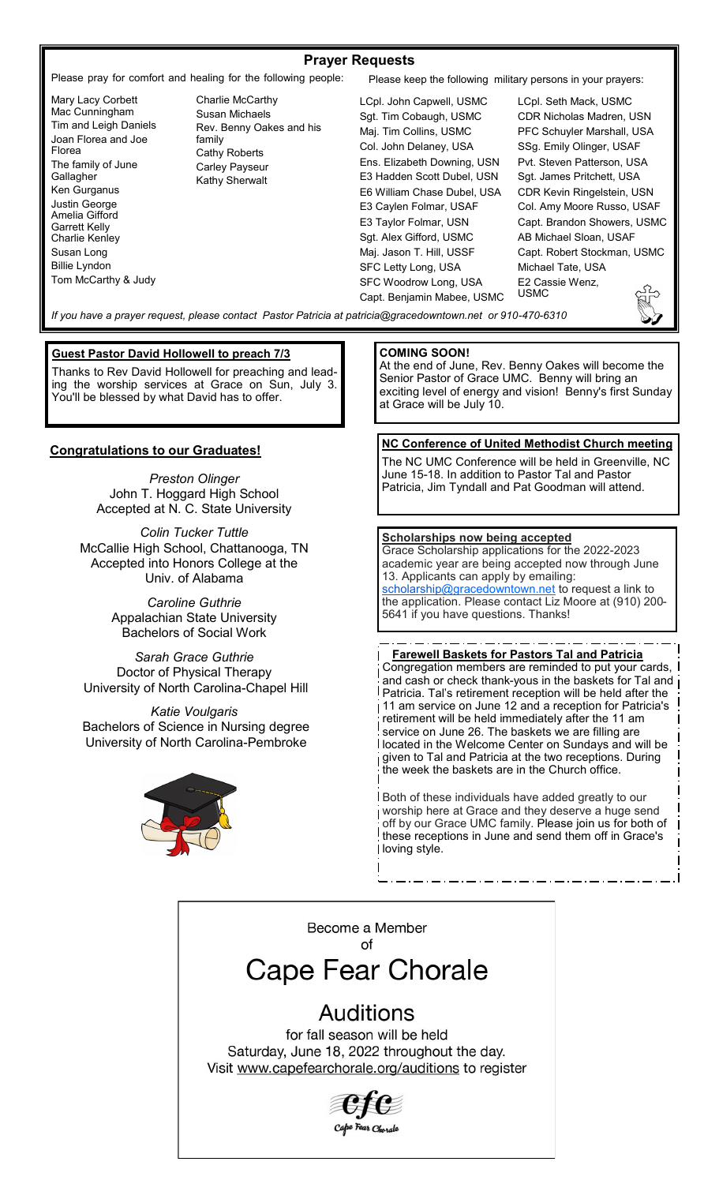#### **Prayer Requests**

Please pray for comfort and healing for the following people: Please keep the following military persons in your prayers:

Mary Lacy Corbett Mac Cunningham Tim and Leigh Daniels Joan Florea and Joe Florea The family of June **Gallagher** Ken Gurganus Justin George Amelia Gifford Garrett Kelly Charlie Kenley Susan Long Billie Lyndon Tom McCarthy & Judy

Charlie McCarthy Susan Michaels Rev. Benny Oakes and his family Cathy Roberts Carley Payseur Kathy Sherwalt

LCpl. John Capwell, USMC Sgt. Tim Cobaugh, USMC Maj. Tim Collins, USMC Col. John Delaney, USA Ens. Elizabeth Downing, USN E3 Hadden Scott Dubel, USN E6 William Chase Dubel, USA E3 Caylen Folmar, USAF E3 Taylor Folmar, USN Sgt. Alex Gifford, USMC Maj. Jason T. Hill, USSF SFC Letty Long, USA SFC Woodrow Long, USA Capt. Benjamin Mabee, USMC LCpl. Seth Mack, USMC CDR Nicholas Madren, USN PFC Schuyler Marshall, USA SSg. Emily Olinger, USAF Pvt. Steven Patterson, USA Sgt. James Pritchett, USA CDR Kevin Ringelstein, USN Col. Amy Moore Russo, USAF Capt. Brandon Showers, USMC AB Michael Sloan, USAF Capt. Robert Stockman, USMC Michael Tate, USA E2 Cassie Wenz, USMC

*If you have a prayer request, please contact Pastor Patricia at patricia@gracedowntown.net or 910-470-6310* 

#### **Guest Pastor David Hollowell to preach 7/3**

Thanks to Rev David Hollowell for preaching and leading the worship services at Grace on Sun, July 3. You'll be blessed by what David has to offer.

#### **Congratulations to our Graduates!**

*Preston Olinger* John T. Hoggard High School Accepted at N. C. State University

*Colin Tucker Tuttle* McCallie High School, Chattanooga, TN Accepted into Honors College at the Univ. of Alabama

> *Caroline Guthrie* Appalachian State University Bachelors of Social Work

*Sarah Grace Guthrie* Doctor of Physical Therapy University of North Carolina-Chapel Hill

*Katie Voulgaris* Bachelors of Science in Nursing degree University of North Carolina-Pembroke



#### **COMING SOON!**

At the end of June, Rev. Benny Oakes will become the Senior Pastor of Grace UMC. Benny will bring an exciting level of energy and vision! Benny's first Sunday at Grace will be July 10.

#### **NC Conference of United Methodist Church meeting**

The NC UMC Conference will be held in Greenville, NC June 15-18. In addition to Pastor Tal and Pastor Patricia, Jim Tyndall and Pat Goodman will attend.

#### **Scholarships now being accepted**

Grace Scholarship applications for the 2022-2023 academic year are being accepted now through June 13. Applicants can apply by emailing: [scholarship@gracedowntown.net](mailto:scholarship@gracedowntown.net) to request a link to the application. Please contact Liz Moore at (910) 200- 5641 if you have questions. Thanks!

**Farewell Baskets for Pastors Tal and Patricia** Congregation members are reminded to put your cards, and cash or check thank-yous in the baskets for Tal and Patricia. Tal's retirement reception will be held after the 11 am service on June 12 and a reception for Patricia's retirement will be held immediately after the 11 am service on June 26. The baskets we are filling are located in the Welcome Center on Sundays and will be given to Tal and Patricia at the two receptions. During the week the baskets are in the Church office.

Both of these individuals have added greatly to our worship here at Grace and they deserve a huge send off by our Grace UMC family. Please join us for both of these receptions in June and send them off in Grace's loving style.

Become a Member of

# **Cape Fear Chorale**

# **Auditions**

for fall season will be held Saturday, June 18, 2022 throughout the day. Visit www.capefearchorale.org/auditions to register